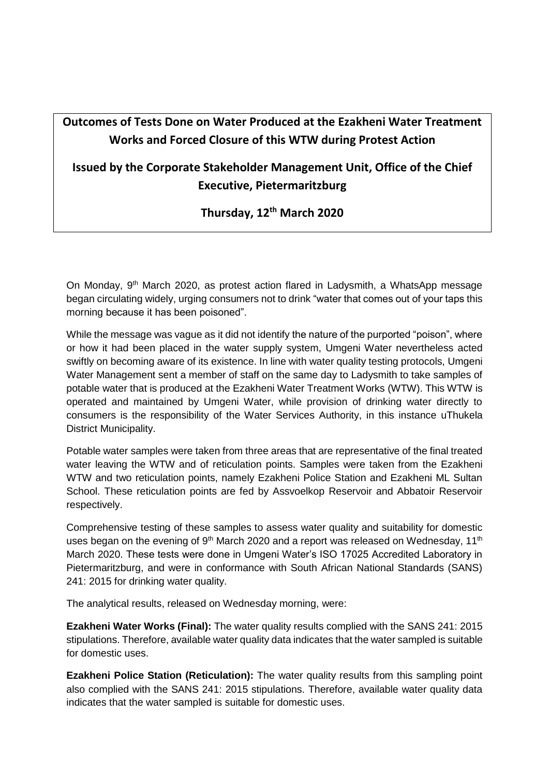## **Outcomes of Tests Done on Water Produced at the Ezakheni Water Treatment Works and Forced Closure of this WTW during Protest Action**

## **Issued by the Corporate Stakeholder Management Unit, Office of the Chief Executive, Pietermaritzburg**

## **Thursday, 12th March 2020**

On Monday, 9<sup>th</sup> March 2020, as protest action flared in Ladysmith, a WhatsApp message began circulating widely, urging consumers not to drink "water that comes out of your taps this morning because it has been poisoned".

While the message was vague as it did not identify the nature of the purported "poison", where or how it had been placed in the water supply system, Umgeni Water nevertheless acted swiftly on becoming aware of its existence. In line with water quality testing protocols, Umgeni Water Management sent a member of staff on the same day to Ladysmith to take samples of potable water that is produced at the Ezakheni Water Treatment Works (WTW). This WTW is operated and maintained by Umgeni Water, while provision of drinking water directly to consumers is the responsibility of the Water Services Authority, in this instance uThukela District Municipality.

Potable water samples were taken from three areas that are representative of the final treated water leaving the WTW and of reticulation points. Samples were taken from the Ezakheni WTW and two reticulation points, namely Ezakheni Police Station and Ezakheni ML Sultan School. These reticulation points are fed by Assvoelkop Reservoir and Abbatoir Reservoir respectively.

Comprehensive testing of these samples to assess water quality and suitability for domestic uses began on the evening of 9<sup>th</sup> March 2020 and a report was released on Wednesday, 11<sup>th</sup> March 2020. These tests were done in Umgeni Water's ISO 17025 Accredited Laboratory in Pietermaritzburg, and were in conformance with South African National Standards (SANS) 241: 2015 for drinking water quality.

The analytical results, released on Wednesday morning, were:

**Ezakheni Water Works (Final):** The water quality results complied with the SANS 241: 2015 stipulations. Therefore, available water quality data indicates that the water sampled is suitable for domestic uses.

**Ezakheni Police Station (Reticulation):** The water quality results from this sampling point also complied with the SANS 241: 2015 stipulations. Therefore, available water quality data indicates that the water sampled is suitable for domestic uses.